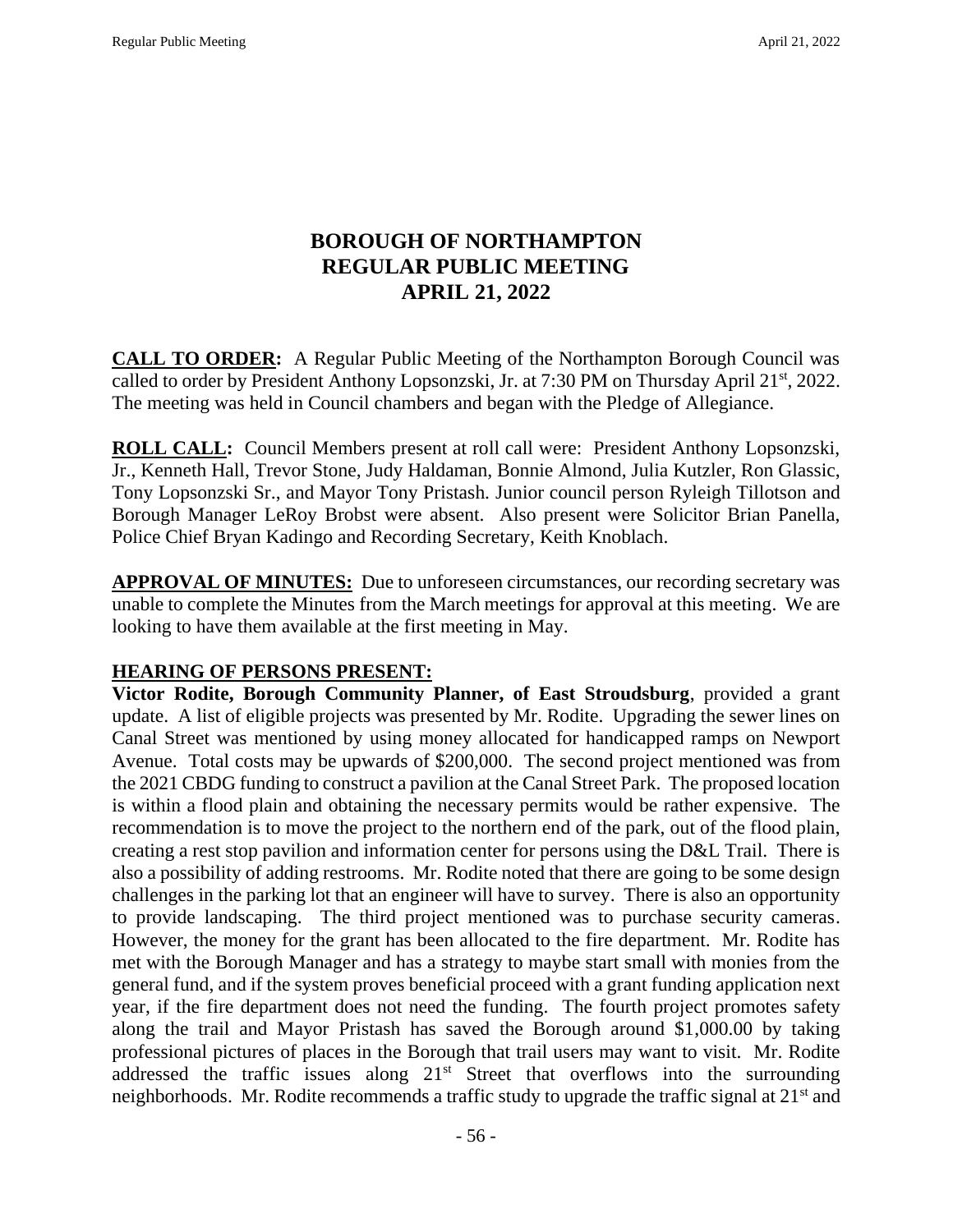# **BOROUGH OF NORTHAMPTON REGULAR PUBLIC MEETING APRIL 21, 2022**

**CALL TO ORDER:** A Regular Public Meeting of the Northampton Borough Council was called to order by President Anthony Lopsonzski, Jr. at 7:30 PM on Thursday April 21<sup>st</sup>, 2022. The meeting was held in Council chambers and began with the Pledge of Allegiance.

**ROLL CALL:** Council Members present at roll call were: President Anthony Lopsonzski, Jr., Kenneth Hall, Trevor Stone, Judy Haldaman, Bonnie Almond, Julia Kutzler, Ron Glassic, Tony Lopsonzski Sr., and Mayor Tony Pristash. Junior council person Ryleigh Tillotson and Borough Manager LeRoy Brobst were absent. Also present were Solicitor Brian Panella, Police Chief Bryan Kadingo and Recording Secretary, Keith Knoblach.

**APPROVAL OF MINUTES:** Due to unforeseen circumstances, our recording secretary was unable to complete the Minutes from the March meetings for approval at this meeting. We are looking to have them available at the first meeting in May.

## **HEARING OF PERSONS PRESENT:**

**Victor Rodite, Borough Community Planner, of East Stroudsburg**, provided a grant update. A list of eligible projects was presented by Mr. Rodite. Upgrading the sewer lines on Canal Street was mentioned by using money allocated for handicapped ramps on Newport Avenue. Total costs may be upwards of \$200,000. The second project mentioned was from the 2021 CBDG funding to construct a pavilion at the Canal Street Park. The proposed location is within a flood plain and obtaining the necessary permits would be rather expensive. The recommendation is to move the project to the northern end of the park, out of the flood plain, creating a rest stop pavilion and information center for persons using the D&L Trail. There is also a possibility of adding restrooms. Mr. Rodite noted that there are going to be some design challenges in the parking lot that an engineer will have to survey. There is also an opportunity to provide landscaping. The third project mentioned was to purchase security cameras. However, the money for the grant has been allocated to the fire department. Mr. Rodite has met with the Borough Manager and has a strategy to maybe start small with monies from the general fund, and if the system proves beneficial proceed with a grant funding application next year, if the fire department does not need the funding. The fourth project promotes safety along the trail and Mayor Pristash has saved the Borough around \$1,000.00 by taking professional pictures of places in the Borough that trail users may want to visit. Mr. Rodite addressed the traffic issues along  $21<sup>st</sup>$  Street that overflows into the surrounding neighborhoods. Mr. Rodite recommends a traffic study to upgrade the traffic signal at 21<sup>st</sup> and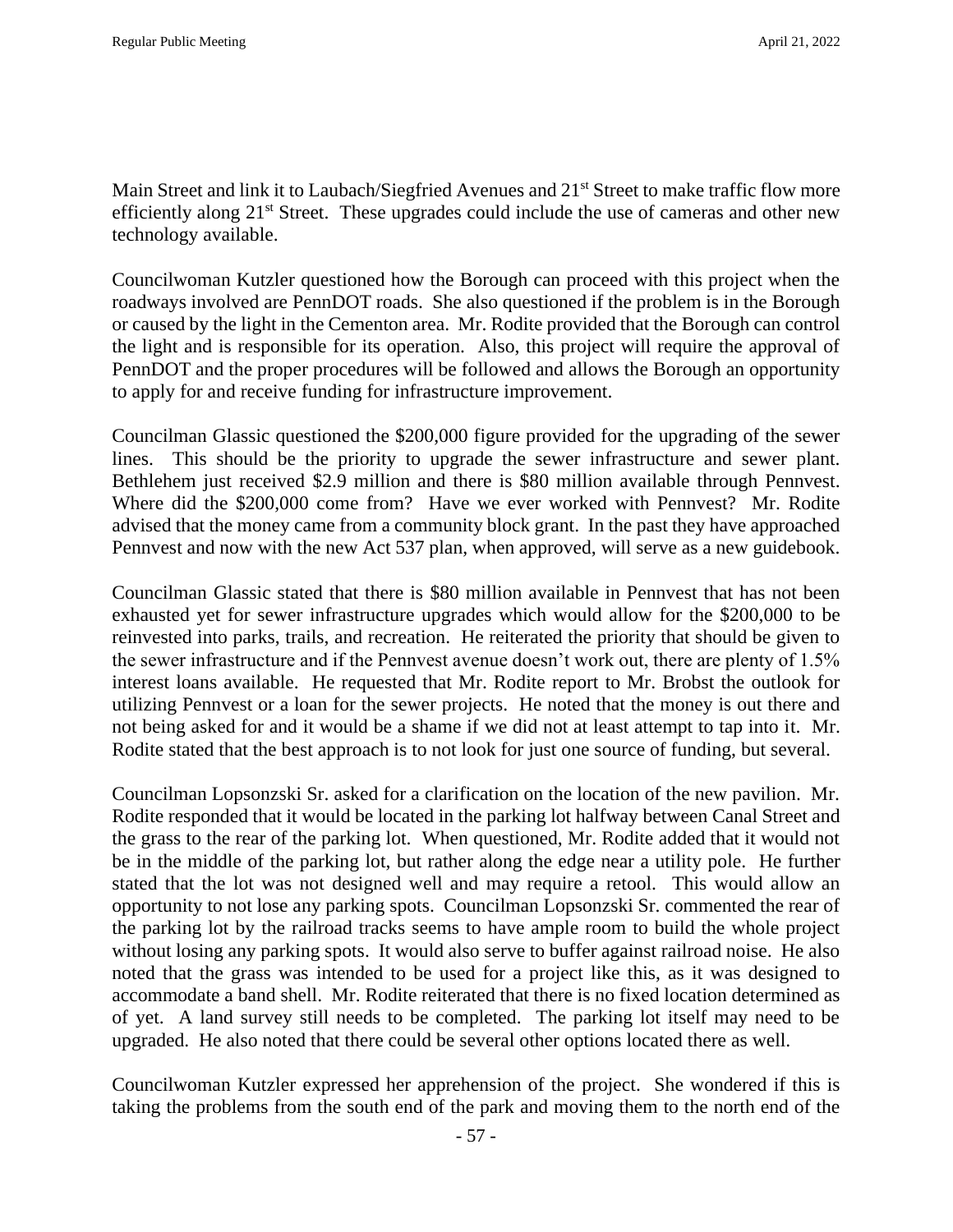Main Street and link it to Laubach/Siegfried Avenues and 21<sup>st</sup> Street to make traffic flow more efficiently along 21<sup>st</sup> Street. These upgrades could include the use of cameras and other new technology available.

Councilwoman Kutzler questioned how the Borough can proceed with this project when the roadways involved are PennDOT roads. She also questioned if the problem is in the Borough or caused by the light in the Cementon area. Mr. Rodite provided that the Borough can control the light and is responsible for its operation. Also, this project will require the approval of PennDOT and the proper procedures will be followed and allows the Borough an opportunity to apply for and receive funding for infrastructure improvement.

Councilman Glassic questioned the \$200,000 figure provided for the upgrading of the sewer lines. This should be the priority to upgrade the sewer infrastructure and sewer plant. Bethlehem just received \$2.9 million and there is \$80 million available through Pennvest. Where did the \$200,000 come from? Have we ever worked with Pennvest? Mr. Rodite advised that the money came from a community block grant. In the past they have approached Pennvest and now with the new Act 537 plan, when approved, will serve as a new guidebook.

Councilman Glassic stated that there is \$80 million available in Pennvest that has not been exhausted yet for sewer infrastructure upgrades which would allow for the \$200,000 to be reinvested into parks, trails, and recreation. He reiterated the priority that should be given to the sewer infrastructure and if the Pennvest avenue doesn't work out, there are plenty of 1.5% interest loans available. He requested that Mr. Rodite report to Mr. Brobst the outlook for utilizing Pennvest or a loan for the sewer projects. He noted that the money is out there and not being asked for and it would be a shame if we did not at least attempt to tap into it. Mr. Rodite stated that the best approach is to not look for just one source of funding, but several.

Councilman Lopsonzski Sr. asked for a clarification on the location of the new pavilion. Mr. Rodite responded that it would be located in the parking lot halfway between Canal Street and the grass to the rear of the parking lot. When questioned, Mr. Rodite added that it would not be in the middle of the parking lot, but rather along the edge near a utility pole. He further stated that the lot was not designed well and may require a retool. This would allow an opportunity to not lose any parking spots. Councilman Lopsonzski Sr. commented the rear of the parking lot by the railroad tracks seems to have ample room to build the whole project without losing any parking spots. It would also serve to buffer against railroad noise. He also noted that the grass was intended to be used for a project like this, as it was designed to accommodate a band shell. Mr. Rodite reiterated that there is no fixed location determined as of yet. A land survey still needs to be completed. The parking lot itself may need to be upgraded. He also noted that there could be several other options located there as well.

Councilwoman Kutzler expressed her apprehension of the project. She wondered if this is taking the problems from the south end of the park and moving them to the north end of the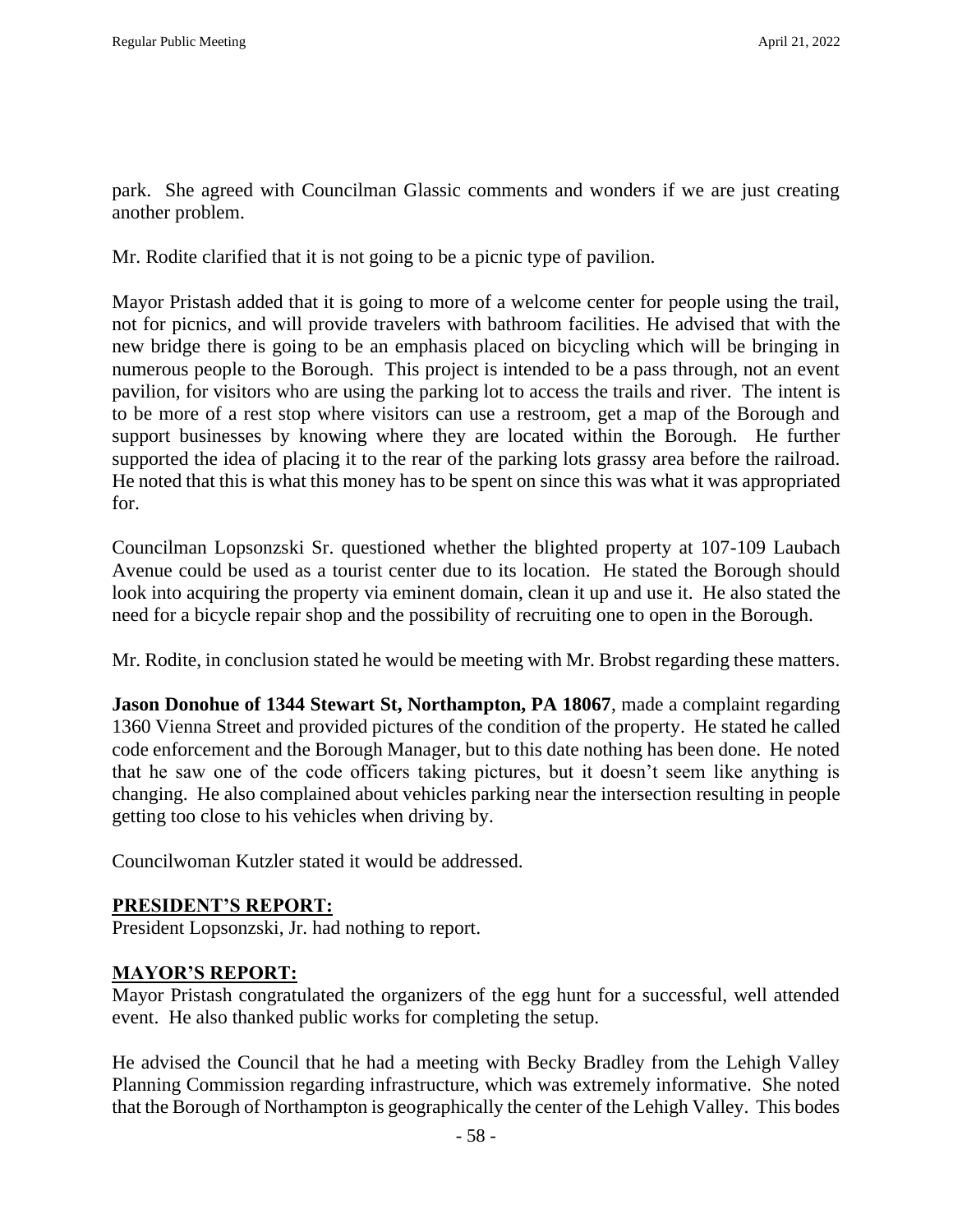park. She agreed with Councilman Glassic comments and wonders if we are just creating another problem.

Mr. Rodite clarified that it is not going to be a picnic type of pavilion.

Mayor Pristash added that it is going to more of a welcome center for people using the trail, not for picnics, and will provide travelers with bathroom facilities. He advised that with the new bridge there is going to be an emphasis placed on bicycling which will be bringing in numerous people to the Borough. This project is intended to be a pass through, not an event pavilion, for visitors who are using the parking lot to access the trails and river. The intent is to be more of a rest stop where visitors can use a restroom, get a map of the Borough and support businesses by knowing where they are located within the Borough. He further supported the idea of placing it to the rear of the parking lots grassy area before the railroad. He noted that this is what this money has to be spent on since this was what it was appropriated for.

Councilman Lopsonzski Sr. questioned whether the blighted property at 107-109 Laubach Avenue could be used as a tourist center due to its location. He stated the Borough should look into acquiring the property via eminent domain, clean it up and use it. He also stated the need for a bicycle repair shop and the possibility of recruiting one to open in the Borough.

Mr. Rodite, in conclusion stated he would be meeting with Mr. Brobst regarding these matters.

**Jason Donohue of 1344 Stewart St, Northampton, PA 18067**, made a complaint regarding 1360 Vienna Street and provided pictures of the condition of the property. He stated he called code enforcement and the Borough Manager, but to this date nothing has been done. He noted that he saw one of the code officers taking pictures, but it doesn't seem like anything is changing. He also complained about vehicles parking near the intersection resulting in people getting too close to his vehicles when driving by.

Councilwoman Kutzler stated it would be addressed.

#### **PRESIDENT'S REPORT:**

President Lopsonzski, Jr. had nothing to report.

#### **MAYOR'S REPORT:**

Mayor Pristash congratulated the organizers of the egg hunt for a successful, well attended event. He also thanked public works for completing the setup.

He advised the Council that he had a meeting with Becky Bradley from the Lehigh Valley Planning Commission regarding infrastructure, which was extremely informative. She noted that the Borough of Northampton is geographically the center of the Lehigh Valley. This bodes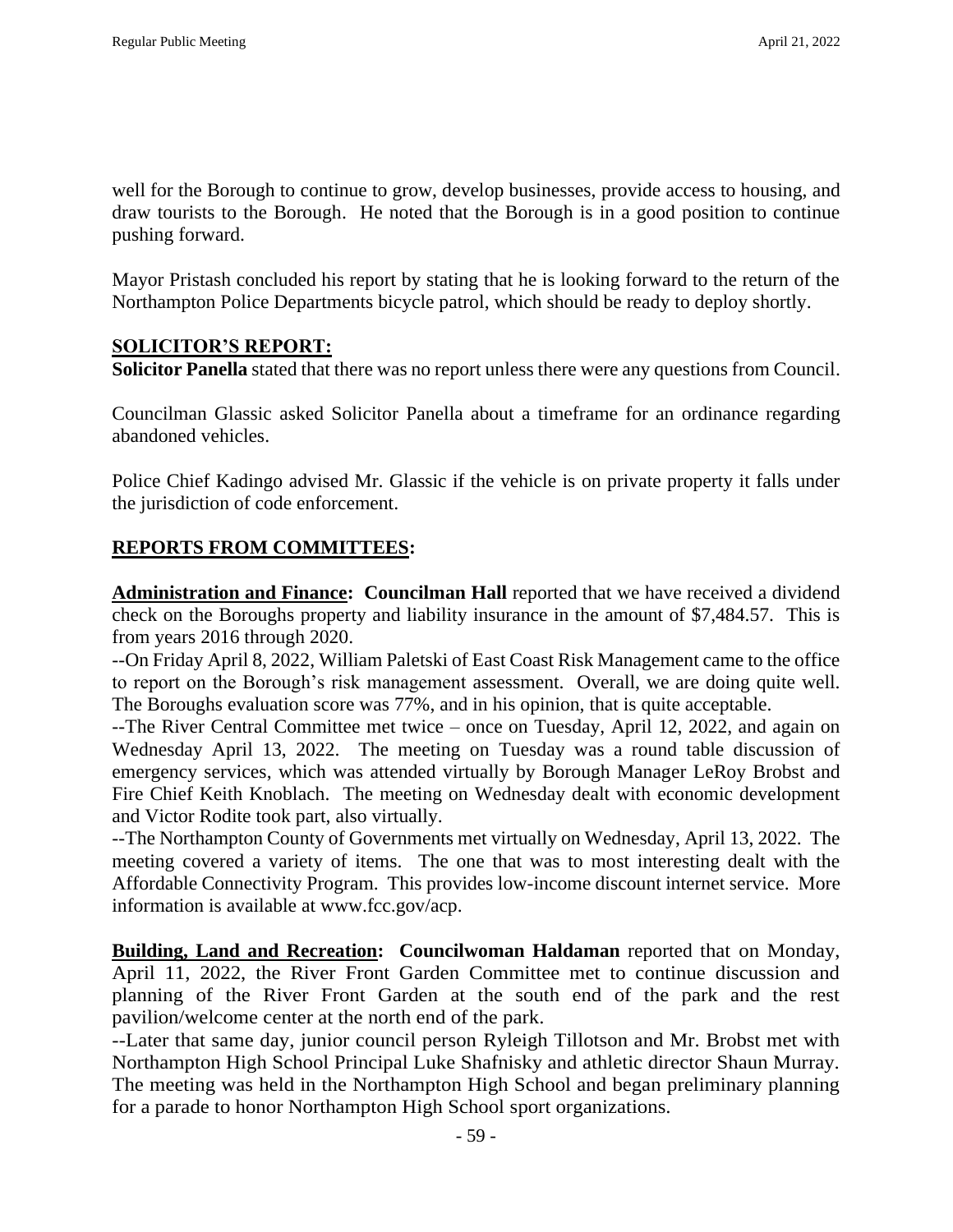well for the Borough to continue to grow, develop businesses, provide access to housing, and draw tourists to the Borough. He noted that the Borough is in a good position to continue pushing forward.

Mayor Pristash concluded his report by stating that he is looking forward to the return of the Northampton Police Departments bicycle patrol, which should be ready to deploy shortly.

### **SOLICITOR'S REPORT:**

**Solicitor Panella** stated that there was no report unless there were any questions from Council.

Councilman Glassic asked Solicitor Panella about a timeframe for an ordinance regarding abandoned vehicles.

Police Chief Kadingo advised Mr. Glassic if the vehicle is on private property it falls under the jurisdiction of code enforcement.

## **REPORTS FROM COMMITTEES:**

**Administration and Finance: Councilman Hall** reported that we have received a dividend check on the Boroughs property and liability insurance in the amount of \$7,484.57. This is from years 2016 through 2020.

--On Friday April 8, 2022, William Paletski of East Coast Risk Management came to the office to report on the Borough's risk management assessment. Overall, we are doing quite well. The Boroughs evaluation score was 77%, and in his opinion, that is quite acceptable.

--The River Central Committee met twice – once on Tuesday, April 12, 2022, and again on Wednesday April 13, 2022. The meeting on Tuesday was a round table discussion of emergency services, which was attended virtually by Borough Manager LeRoy Brobst and Fire Chief Keith Knoblach. The meeting on Wednesday dealt with economic development and Victor Rodite took part, also virtually.

--The Northampton County of Governments met virtually on Wednesday, April 13, 2022. The meeting covered a variety of items. The one that was to most interesting dealt with the Affordable Connectivity Program. This provides low-income discount internet service. More information is available at www.fcc.gov/acp.

**Building, Land and Recreation: Councilwoman Haldaman** reported that on Monday, April 11, 2022, the River Front Garden Committee met to continue discussion and planning of the River Front Garden at the south end of the park and the rest pavilion/welcome center at the north end of the park.

--Later that same day, junior council person Ryleigh Tillotson and Mr. Brobst met with Northampton High School Principal Luke Shafnisky and athletic director Shaun Murray. The meeting was held in the Northampton High School and began preliminary planning for a parade to honor Northampton High School sport organizations.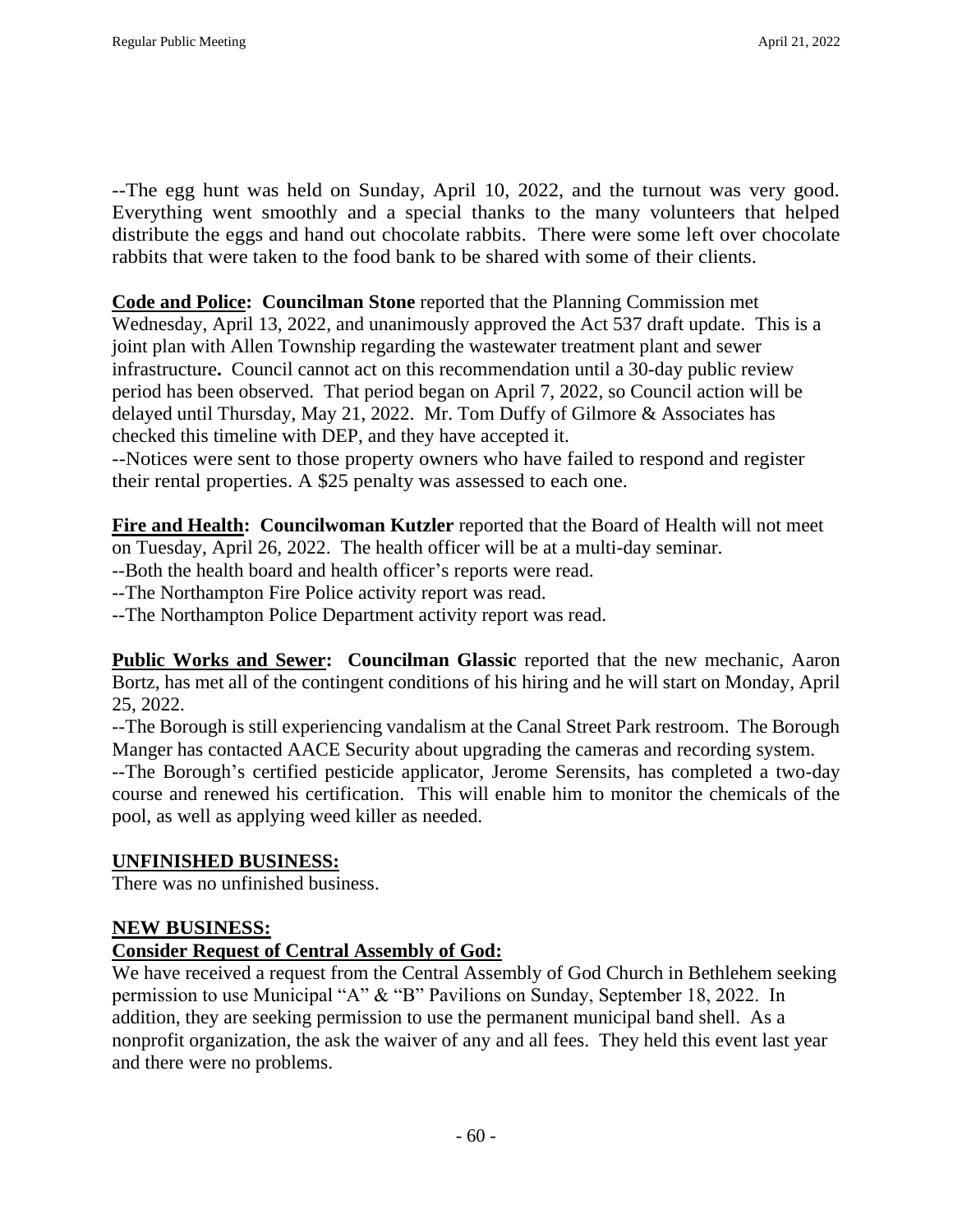--The egg hunt was held on Sunday, April 10, 2022, and the turnout was very good. Everything went smoothly and a special thanks to the many volunteers that helped distribute the eggs and hand out chocolate rabbits. There were some left over chocolate rabbits that were taken to the food bank to be shared with some of their clients.

**Code and Police: Councilman Stone** reported that the Planning Commission met

Wednesday, April 13, 2022, and unanimously approved the Act 537 draft update. This is a joint plan with Allen Township regarding the wastewater treatment plant and sewer infrastructure**.** Council cannot act on this recommendation until a 30-day public review period has been observed. That period began on April 7, 2022, so Council action will be delayed until Thursday, May 21, 2022. Mr. Tom Duffy of Gilmore & Associates has checked this timeline with DEP, and they have accepted it.

--Notices were sent to those property owners who have failed to respond and register their rental properties. A \$25 penalty was assessed to each one.

**Fire and Health: Councilwoman Kutzler** reported that the Board of Health will not meet on Tuesday, April 26, 2022. The health officer will be at a multi-day seminar.

--Both the health board and health officer's reports were read.

--The Northampton Fire Police activity report was read.

--The Northampton Police Department activity report was read.

**Public Works and Sewer: Councilman Glassic** reported that the new mechanic, Aaron Bortz, has met all of the contingent conditions of his hiring and he will start on Monday, April 25, 2022.

--The Borough is still experiencing vandalism at the Canal Street Park restroom. The Borough Manger has contacted AACE Security about upgrading the cameras and recording system.

--The Borough's certified pesticide applicator, Jerome Serensits, has completed a two-day course and renewed his certification. This will enable him to monitor the chemicals of the pool, as well as applying weed killer as needed.

### **UNFINISHED BUSINESS:**

There was no unfinished business.

### **NEW BUSINESS:**

### **Consider Request of Central Assembly of God:**

We have received a request from the Central Assembly of God Church in Bethlehem seeking permission to use Municipal "A" & "B" Pavilions on Sunday, September 18, 2022. In addition, they are seeking permission to use the permanent municipal band shell. As a nonprofit organization, the ask the waiver of any and all fees. They held this event last year and there were no problems.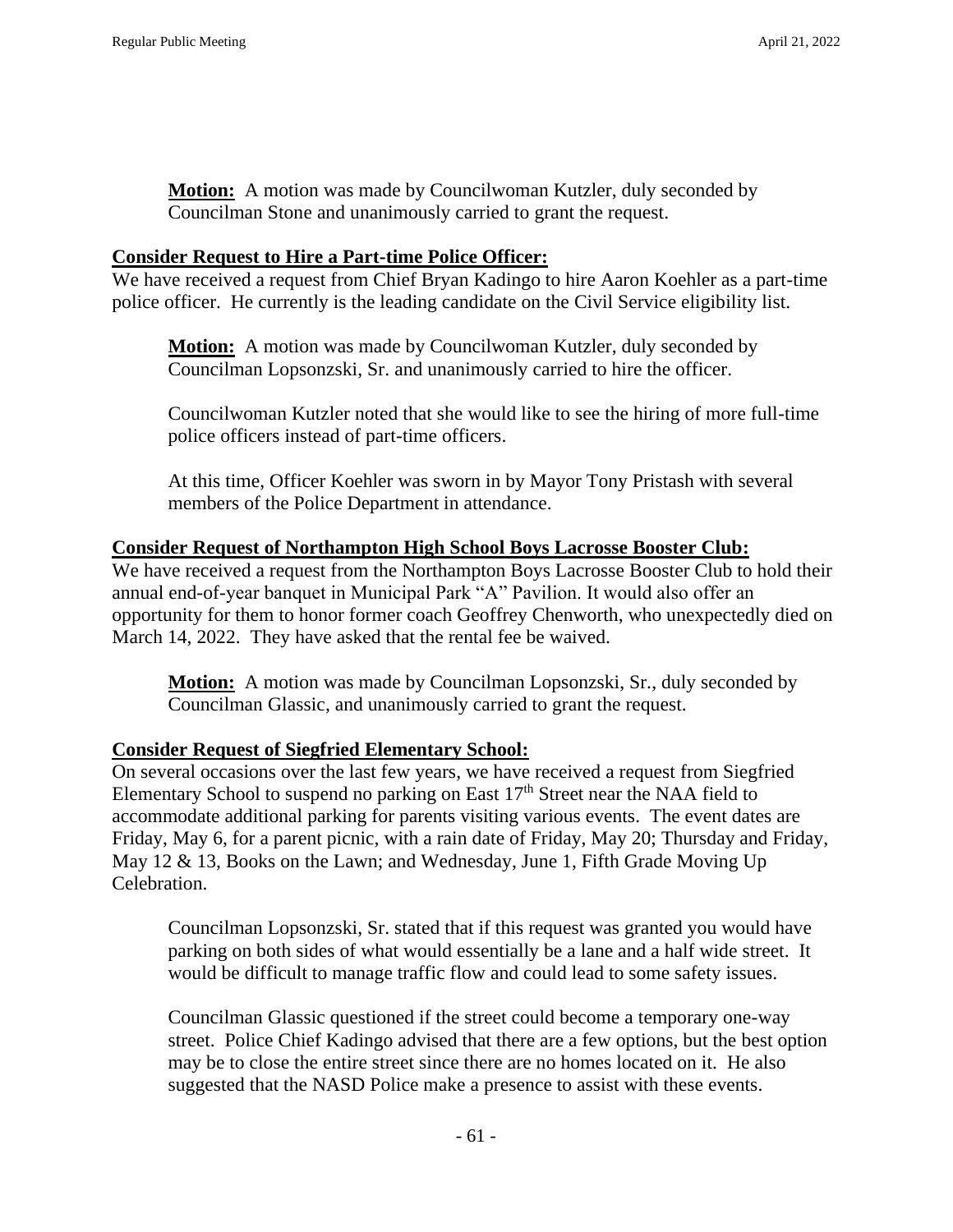**Motion:** A motion was made by Councilwoman Kutzler, duly seconded by Councilman Stone and unanimously carried to grant the request.

#### **Consider Request to Hire a Part-time Police Officer:**

We have received a request from Chief Bryan Kadingo to hire Aaron Koehler as a part-time police officer. He currently is the leading candidate on the Civil Service eligibility list.

**Motion:** A motion was made by Councilwoman Kutzler, duly seconded by Councilman Lopsonzski, Sr. and unanimously carried to hire the officer.

Councilwoman Kutzler noted that she would like to see the hiring of more full-time police officers instead of part-time officers.

At this time, Officer Koehler was sworn in by Mayor Tony Pristash with several members of the Police Department in attendance.

#### **Consider Request of Northampton High School Boys Lacrosse Booster Club:**

We have received a request from the Northampton Boys Lacrosse Booster Club to hold their annual end-of-year banquet in Municipal Park "A" Pavilion. It would also offer an opportunity for them to honor former coach Geoffrey Chenworth, who unexpectedly died on March 14, 2022. They have asked that the rental fee be waived.

**Motion:** A motion was made by Councilman Lopsonzski, Sr., duly seconded by Councilman Glassic, and unanimously carried to grant the request.

#### **Consider Request of Siegfried Elementary School:**

On several occasions over the last few years, we have received a request from Siegfried Elementary School to suspend no parking on East  $17<sup>th</sup>$  Street near the NAA field to accommodate additional parking for parents visiting various events. The event dates are Friday, May 6, for a parent picnic, with a rain date of Friday, May 20; Thursday and Friday, May 12 & 13, Books on the Lawn; and Wednesday, June 1, Fifth Grade Moving Up Celebration.

Councilman Lopsonzski, Sr. stated that if this request was granted you would have parking on both sides of what would essentially be a lane and a half wide street. It would be difficult to manage traffic flow and could lead to some safety issues.

Councilman Glassic questioned if the street could become a temporary one-way street. Police Chief Kadingo advised that there are a few options, but the best option may be to close the entire street since there are no homes located on it. He also suggested that the NASD Police make a presence to assist with these events.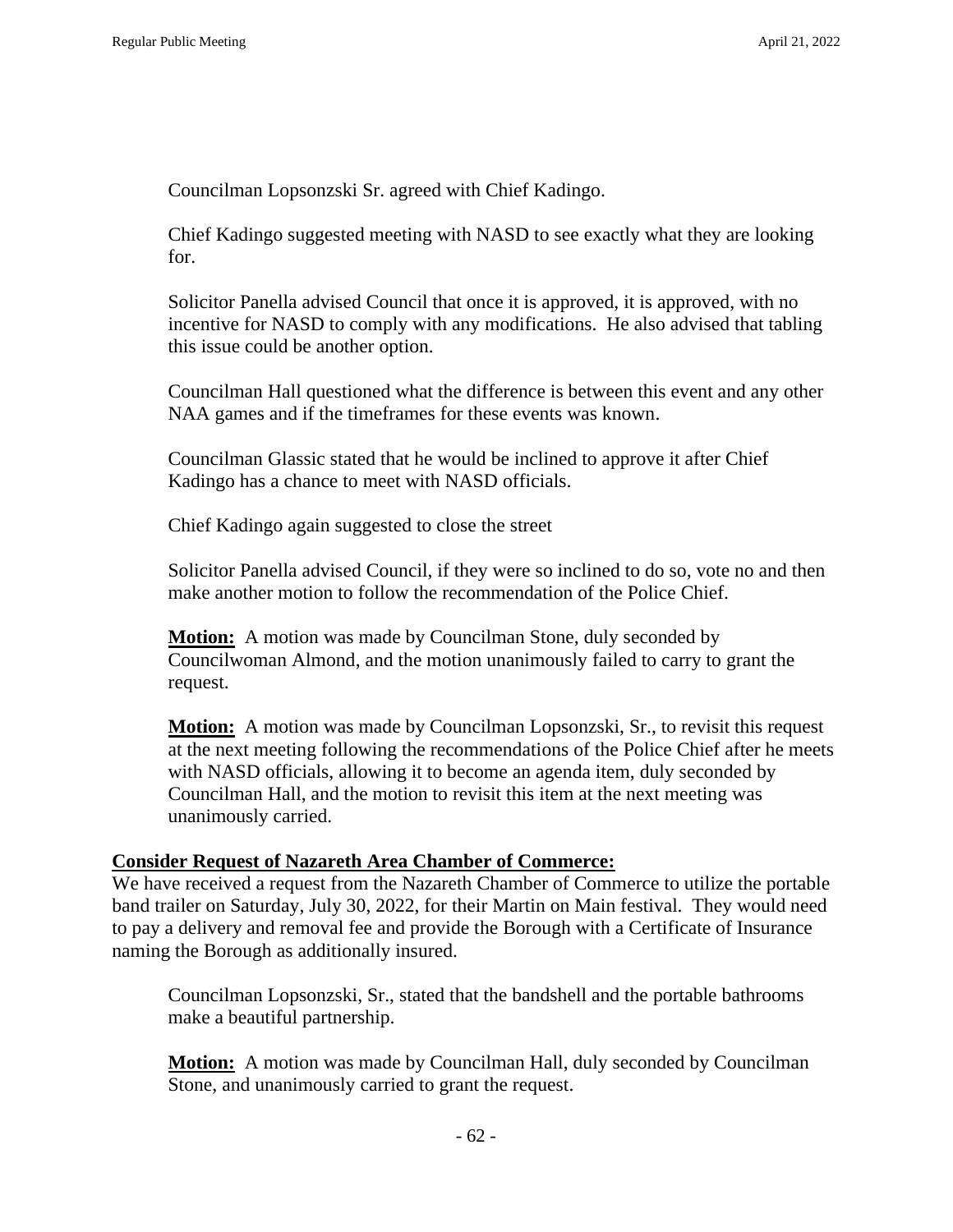Councilman Lopsonzski Sr. agreed with Chief Kadingo.

Chief Kadingo suggested meeting with NASD to see exactly what they are looking for.

Solicitor Panella advised Council that once it is approved, it is approved, with no incentive for NASD to comply with any modifications. He also advised that tabling this issue could be another option.

Councilman Hall questioned what the difference is between this event and any other NAA games and if the timeframes for these events was known.

Councilman Glassic stated that he would be inclined to approve it after Chief Kadingo has a chance to meet with NASD officials.

Chief Kadingo again suggested to close the street

Solicitor Panella advised Council, if they were so inclined to do so, vote no and then make another motion to follow the recommendation of the Police Chief.

**Motion:** A motion was made by Councilman Stone, duly seconded by Councilwoman Almond, and the motion unanimously failed to carry to grant the request.

**Motion:** A motion was made by Councilman Lopsonzski, Sr., to revisit this request at the next meeting following the recommendations of the Police Chief after he meets with NASD officials, allowing it to become an agenda item, duly seconded by Councilman Hall, and the motion to revisit this item at the next meeting was unanimously carried.

### **Consider Request of Nazareth Area Chamber of Commerce:**

We have received a request from the Nazareth Chamber of Commerce to utilize the portable band trailer on Saturday, July 30, 2022, for their Martin on Main festival. They would need to pay a delivery and removal fee and provide the Borough with a Certificate of Insurance naming the Borough as additionally insured.

Councilman Lopsonzski, Sr., stated that the bandshell and the portable bathrooms make a beautiful partnership.

**Motion:** A motion was made by Councilman Hall, duly seconded by Councilman Stone, and unanimously carried to grant the request.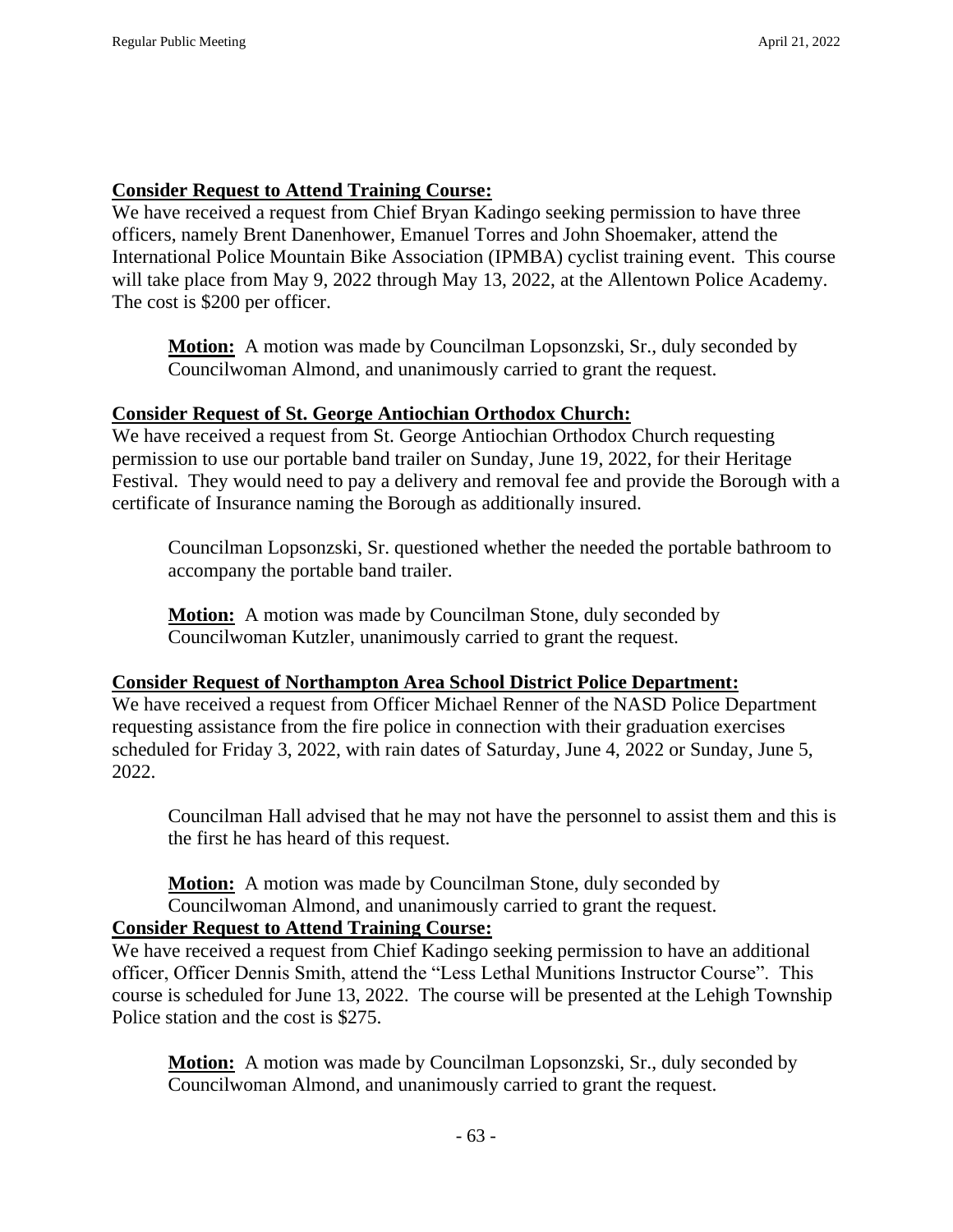### **Consider Request to Attend Training Course:**

We have received a request from Chief Bryan Kadingo seeking permission to have three officers, namely Brent Danenhower, Emanuel Torres and John Shoemaker, attend the International Police Mountain Bike Association (IPMBA) cyclist training event. This course will take place from May 9, 2022 through May 13, 2022, at the Allentown Police Academy. The cost is \$200 per officer.

**Motion:** A motion was made by Councilman Lopsonzski, Sr., duly seconded by Councilwoman Almond, and unanimously carried to grant the request.

### **Consider Request of St. George Antiochian Orthodox Church:**

We have received a request from St. George Antiochian Orthodox Church requesting permission to use our portable band trailer on Sunday, June 19, 2022, for their Heritage Festival. They would need to pay a delivery and removal fee and provide the Borough with a certificate of Insurance naming the Borough as additionally insured.

Councilman Lopsonzski, Sr. questioned whether the needed the portable bathroom to accompany the portable band trailer.

**Motion:** A motion was made by Councilman Stone, duly seconded by Councilwoman Kutzler, unanimously carried to grant the request.

### **Consider Request of Northampton Area School District Police Department:**

We have received a request from Officer Michael Renner of the NASD Police Department requesting assistance from the fire police in connection with their graduation exercises scheduled for Friday 3, 2022, with rain dates of Saturday, June 4, 2022 or Sunday, June 5, 2022.

Councilman Hall advised that he may not have the personnel to assist them and this is the first he has heard of this request.

**Motion:** A motion was made by Councilman Stone, duly seconded by Councilwoman Almond, and unanimously carried to grant the request. **Consider Request to Attend Training Course:**

We have received a request from Chief Kadingo seeking permission to have an additional officer, Officer Dennis Smith, attend the "Less Lethal Munitions Instructor Course". This course is scheduled for June 13, 2022. The course will be presented at the Lehigh Township Police station and the cost is \$275.

**Motion:** A motion was made by Councilman Lopsonzski, Sr., duly seconded by Councilwoman Almond, and unanimously carried to grant the request.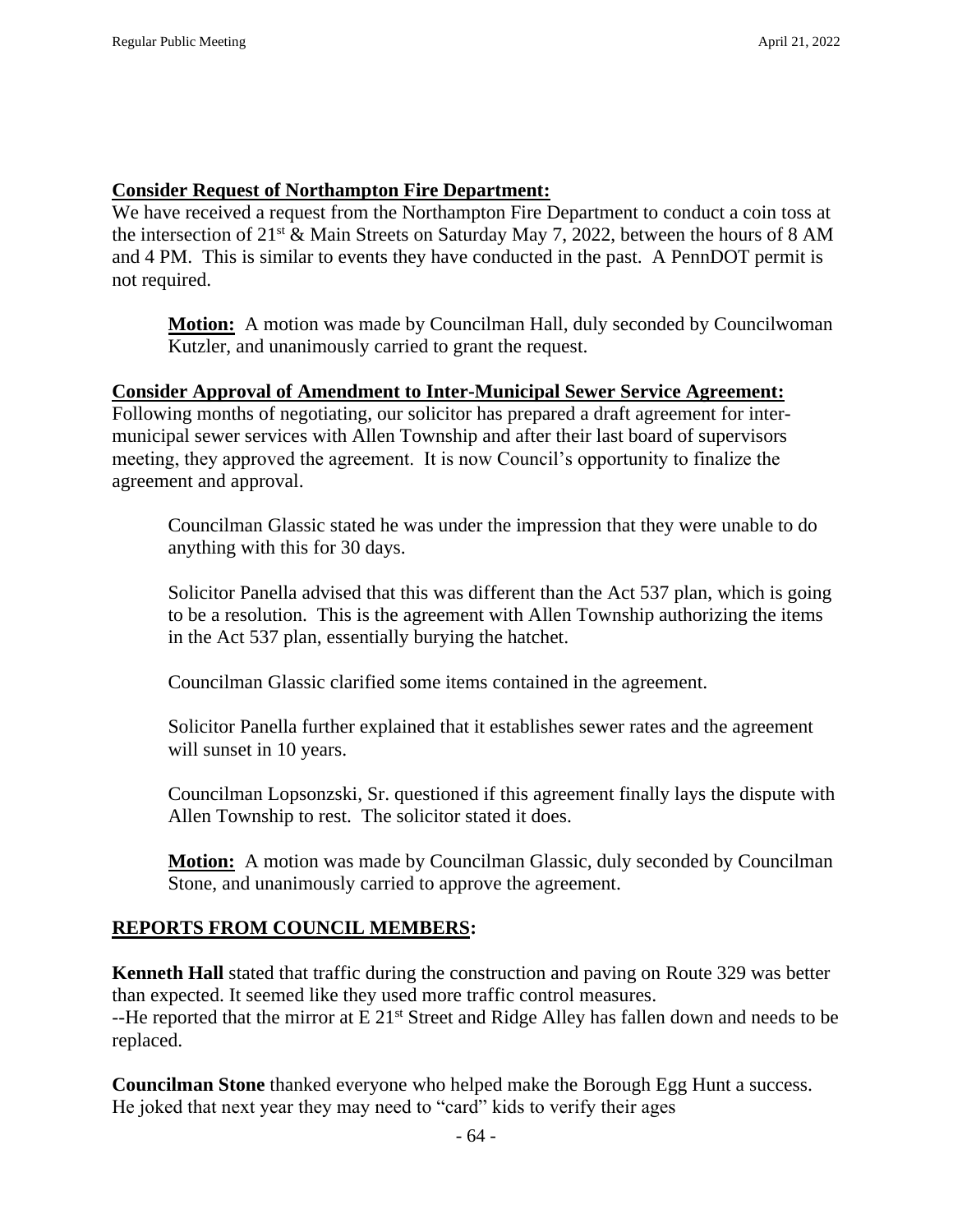### **Consider Request of Northampton Fire Department:**

We have received a request from the Northampton Fire Department to conduct a coin toss at the intersection of  $21^{st}$  & Main Streets on Saturday May 7, 2022, between the hours of 8 AM and 4 PM. This is similar to events they have conducted in the past. A PennDOT permit is not required.

**Motion:** A motion was made by Councilman Hall, duly seconded by Councilwoman Kutzler, and unanimously carried to grant the request.

#### **Consider Approval of Amendment to Inter-Municipal Sewer Service Agreement:**

Following months of negotiating, our solicitor has prepared a draft agreement for intermunicipal sewer services with Allen Township and after their last board of supervisors meeting, they approved the agreement. It is now Council's opportunity to finalize the agreement and approval.

Councilman Glassic stated he was under the impression that they were unable to do anything with this for 30 days.

Solicitor Panella advised that this was different than the Act 537 plan, which is going to be a resolution. This is the agreement with Allen Township authorizing the items in the Act 537 plan, essentially burying the hatchet.

Councilman Glassic clarified some items contained in the agreement.

Solicitor Panella further explained that it establishes sewer rates and the agreement will sunset in 10 years.

Councilman Lopsonzski, Sr. questioned if this agreement finally lays the dispute with Allen Township to rest. The solicitor stated it does.

**Motion:** A motion was made by Councilman Glassic, duly seconded by Councilman Stone, and unanimously carried to approve the agreement.

### **REPORTS FROM COUNCIL MEMBERS:**

**Kenneth Hall** stated that traffic during the construction and paving on Route 329 was better than expected. It seemed like they used more traffic control measures. --He reported that the mirror at E 21<sup>st</sup> Street and Ridge Alley has fallen down and needs to be replaced.

**Councilman Stone** thanked everyone who helped make the Borough Egg Hunt a success. He joked that next year they may need to "card" kids to verify their ages